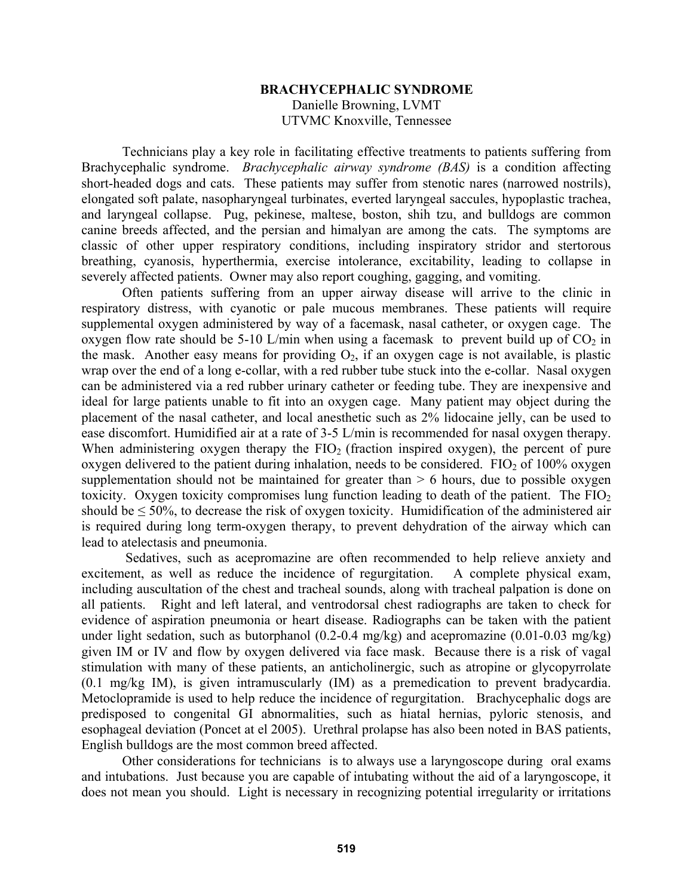## **BRACHYCEPHALIC SYNDROME**  Danielle Browning, LVMT UTVMC Knoxville, Tennessee

 Technicians play a key role in facilitating effective treatments to patients suffering from Brachycephalic syndrome. *Brachycephalic airway syndrome (BAS)* is a condition affecting short-headed dogs and cats. These patients may suffer from stenotic nares (narrowed nostrils), elongated soft palate, nasopharyngeal turbinates, everted laryngeal saccules, hypoplastic trachea, and laryngeal collapse. Pug, pekinese, maltese, boston, shih tzu, and bulldogs are common canine breeds affected, and the persian and himalyan are among the cats. The symptoms are classic of other upper respiratory conditions, including inspiratory stridor and stertorous breathing, cyanosis, hyperthermia, exercise intolerance, excitability, leading to collapse in severely affected patients. Owner may also report coughing, gagging, and vomiting.

 Often patients suffering from an upper airway disease will arrive to the clinic in respiratory distress, with cyanotic or pale mucous membranes. These patients will require supplemental oxygen administered by way of a facemask, nasal catheter, or oxygen cage. The oxygen flow rate should be 5-10 L/min when using a facemask to prevent build up of  $CO<sub>2</sub>$  in the mask. Another easy means for providing  $O_2$ , if an oxygen cage is not available, is plastic wrap over the end of a long e-collar, with a red rubber tube stuck into the e-collar. Nasal oxygen can be administered via a red rubber urinary catheter or feeding tube. They are inexpensive and ideal for large patients unable to fit into an oxygen cage. Many patient may object during the placement of the nasal catheter, and local anesthetic such as 2% lidocaine jelly, can be used to ease discomfort. Humidified air at a rate of 3-5 L/min is recommended for nasal oxygen therapy. When administering oxygen therapy the  $FIO<sub>2</sub>$  (fraction inspired oxygen), the percent of pure oxygen delivered to the patient during inhalation, needs to be considered.  $FIO<sub>2</sub>$  of 100% oxygen supplementation should not be maintained for greater than  $> 6$  hours, due to possible oxygen toxicity. Oxygen toxicity compromises lung function leading to death of the patient. The  $FIO<sub>2</sub>$ should be  $\leq 50\%$ , to decrease the risk of oxygen toxicity. Humidification of the administered air is required during long term-oxygen therapy, to prevent dehydration of the airway which can lead to atelectasis and pneumonia.

 Sedatives, such as acepromazine are often recommended to help relieve anxiety and excitement, as well as reduce the incidence of regurgitation. A complete physical exam, including auscultation of the chest and tracheal sounds, along with tracheal palpation is done on all patients. Right and left lateral, and ventrodorsal chest radiographs are taken to check for evidence of aspiration pneumonia or heart disease. Radiographs can be taken with the patient under light sedation, such as butorphanol  $(0.2-0.4 \text{ mg/kg})$  and acepromazine  $(0.01-0.03 \text{ mg/kg})$ given IM or IV and flow by oxygen delivered via face mask. Because there is a risk of vagal stimulation with many of these patients, an anticholinergic, such as atropine or glycopyrrolate (0.1 mg/kg IM), is given intramuscularly (IM) as a premedication to prevent bradycardia. Metoclopramide is used to help reduce the incidence of regurgitation. Brachycephalic dogs are predisposed to congenital GI abnormalities, such as hiatal hernias, pyloric stenosis, and esophageal deviation (Poncet at el 2005). Urethral prolapse has also been noted in BAS patients, English bulldogs are the most common breed affected.

 Other considerations for technicians is to always use a laryngoscope during oral exams and intubations. Just because you are capable of intubating without the aid of a laryngoscope, it does not mean you should. Light is necessary in recognizing potential irregularity or irritations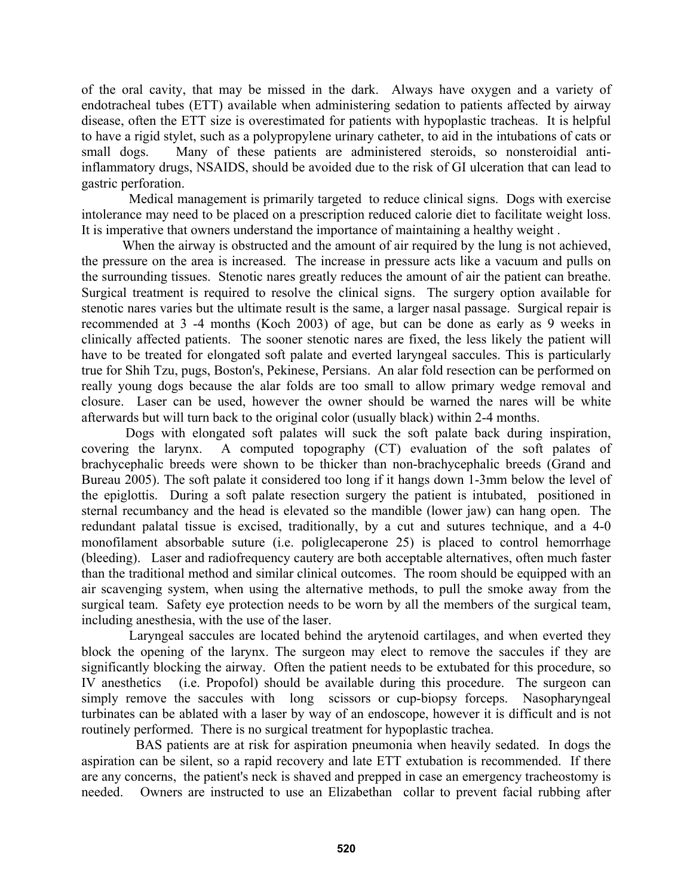of the oral cavity, that may be missed in the dark. Always have oxygen and a variety of endotracheal tubes (ETT) available when administering sedation to patients affected by airway disease, often the ETT size is overestimated for patients with hypoplastic tracheas. It is helpful to have a rigid stylet, such as a polypropylene urinary catheter, to aid in the intubations of cats or small dogs. Many of these patients are administered steroids, so nonsteroidial antiinflammatory drugs, NSAIDS, should be avoided due to the risk of GI ulceration that can lead to gastric perforation.

 Medical management is primarily targeted to reduce clinical signs. Dogs with exercise intolerance may need to be placed on a prescription reduced calorie diet to facilitate weight loss. It is imperative that owners understand the importance of maintaining a healthy weight .

 When the airway is obstructed and the amount of air required by the lung is not achieved, the pressure on the area is increased. The increase in pressure acts like a vacuum and pulls on the surrounding tissues. Stenotic nares greatly reduces the amount of air the patient can breathe. Surgical treatment is required to resolve the clinical signs. The surgery option available for stenotic nares varies but the ultimate result is the same, a larger nasal passage. Surgical repair is recommended at 3 -4 months (Koch 2003) of age, but can be done as early as 9 weeks in clinically affected patients. The sooner stenotic nares are fixed, the less likely the patient will have to be treated for elongated soft palate and everted laryngeal saccules. This is particularly true for Shih Tzu, pugs, Boston's, Pekinese, Persians. An alar fold resection can be performed on really young dogs because the alar folds are too small to allow primary wedge removal and closure. Laser can be used, however the owner should be warned the nares will be white afterwards but will turn back to the original color (usually black) within 2-4 months.

 Dogs with elongated soft palates will suck the soft palate back during inspiration, covering the larynx. A computed topography (CT) evaluation of the soft palates of brachycephalic breeds were shown to be thicker than non-brachycephalic breeds (Grand and Bureau 2005). The soft palate it considered too long if it hangs down 1-3mm below the level of the epiglottis. During a soft palate resection surgery the patient is intubated, positioned in sternal recumbancy and the head is elevated so the mandible (lower jaw) can hang open. The redundant palatal tissue is excised, traditionally, by a cut and sutures technique, and a 4-0 monofilament absorbable suture (i.e. poliglecaperone 25) is placed to control hemorrhage (bleeding). Laser and radiofrequency cautery are both acceptable alternatives, often much faster than the traditional method and similar clinical outcomes. The room should be equipped with an air scavenging system, when using the alternative methods, to pull the smoke away from the surgical team. Safety eye protection needs to be worn by all the members of the surgical team, including anesthesia, with the use of the laser.

 Laryngeal saccules are located behind the arytenoid cartilages, and when everted they block the opening of the larynx. The surgeon may elect to remove the saccules if they are significantly blocking the airway. Often the patient needs to be extubated for this procedure, so IV anesthetics (i.e. Propofol) should be available during this procedure. The surgeon can simply remove the saccules with long scissors or cup-biopsy forceps. Nasopharyngeal turbinates can be ablated with a laser by way of an endoscope, however it is difficult and is not routinely performed. There is no surgical treatment for hypoplastic trachea.

 BAS patients are at risk for aspiration pneumonia when heavily sedated. In dogs the aspiration can be silent, so a rapid recovery and late ETT extubation is recommended. If there are any concerns, the patient's neck is shaved and prepped in case an emergency tracheostomy is needed. Owners are instructed to use an Elizabethan collar to prevent facial rubbing after